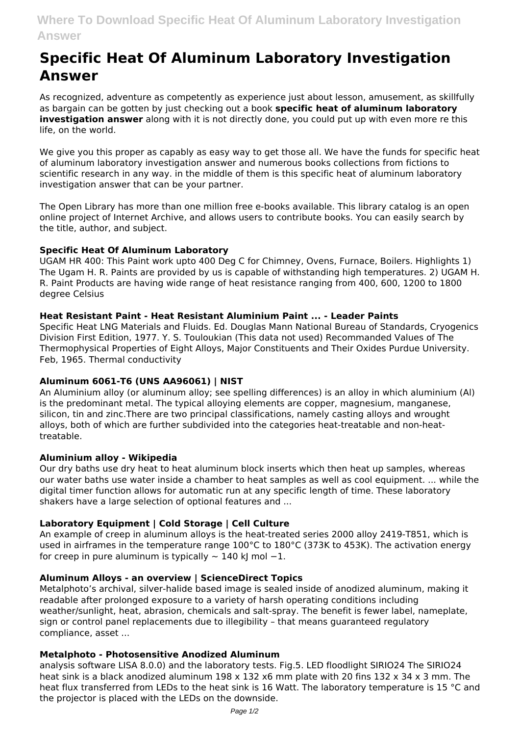# **Specific Heat Of Aluminum Laboratory Investigation Answer**

As recognized, adventure as competently as experience just about lesson, amusement, as skillfully as bargain can be gotten by just checking out a book **specific heat of aluminum laboratory investigation answer** along with it is not directly done, you could put up with even more re this life, on the world.

We give you this proper as capably as easy way to get those all. We have the funds for specific heat of aluminum laboratory investigation answer and numerous books collections from fictions to scientific research in any way. in the middle of them is this specific heat of aluminum laboratory investigation answer that can be your partner.

The Open Library has more than one million free e-books available. This library catalog is an open online project of Internet Archive, and allows users to contribute books. You can easily search by the title, author, and subject.

## **Specific Heat Of Aluminum Laboratory**

UGAM HR 400: This Paint work upto 400 Deg C for Chimney, Ovens, Furnace, Boilers. Highlights 1) The Ugam H. R. Paints are provided by us is capable of withstanding high temperatures. 2) UGAM H. R. Paint Products are having wide range of heat resistance ranging from 400, 600, 1200 to 1800 degree Celsius

## **Heat Resistant Paint - Heat Resistant Aluminium Paint ... - Leader Paints**

Specific Heat LNG Materials and Fluids. Ed. Douglas Mann National Bureau of Standards, Cryogenics Division First Edition, 1977. Y. S. Touloukian (This data not used) Recommanded Values of The Thermophysical Properties of Eight Alloys, Major Constituents and Their Oxides Purdue University. Feb, 1965. Thermal conductivity

# **Aluminum 6061-T6 (UNS AA96061) | NIST**

An Aluminium alloy (or aluminum alloy; see spelling differences) is an alloy in which aluminium (Al) is the predominant metal. The typical alloying elements are copper, magnesium, manganese, silicon, tin and zinc.There are two principal classifications, namely casting alloys and wrought alloys, both of which are further subdivided into the categories heat-treatable and non-heattreatable.

### **Aluminium alloy - Wikipedia**

Our dry baths use dry heat to heat aluminum block inserts which then heat up samples, whereas our water baths use water inside a chamber to heat samples as well as cool equipment. ... while the digital timer function allows for automatic run at any specific length of time. These laboratory shakers have a large selection of optional features and ...

# **Laboratory Equipment | Cold Storage | Cell Culture**

An example of creep in aluminum alloys is the heat-treated series 2000 alloy 2419-T851, which is used in airframes in the temperature range 100°C to 180°C (373K to 453K). The activation energy for creep in pure aluminum is typically  $\sim$  140 kJ mol -1.

### **Aluminum Alloys - an overview | ScienceDirect Topics**

Metalphoto's archival, silver-halide based image is sealed inside of anodized aluminum, making it readable after prolonged exposure to a variety of harsh operating conditions including weather/sunlight, heat, abrasion, chemicals and salt-spray. The benefit is fewer label, nameplate, sign or control panel replacements due to illegibility – that means guaranteed regulatory compliance, asset ...

### **Metalphoto - Photosensitive Anodized Aluminum**

analysis software LISA 8.0.0) and the laboratory tests. Fig.5. LED floodlight SIRIO24 The SIRIO24 heat sink is a black anodized aluminum 198 x 132 x6 mm plate with 20 fins 132 x 34 x 3 mm. The heat flux transferred from LEDs to the heat sink is 16 Watt. The laboratory temperature is 15 °C and the projector is placed with the LEDs on the downside.